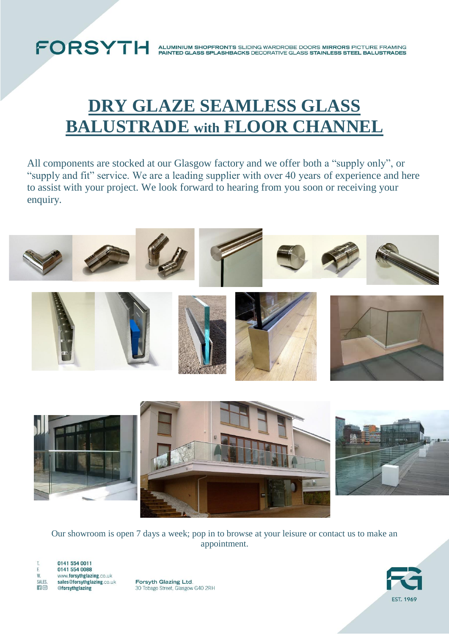## **FORSYTH**

ALUMINIUM SHOPFRONTS SLIDING WARDROBE DOORS MIRRORS PICTURE FRAMING<br>PAINTED GLASS SPLASHBACKS DECORATIVE GLASS STAINLESS STEEL BALUSTRADES

### **DRY GLAZE SEAMLESS GLASS BALUSTRADE with FLOOR CHANNEL**

All components are stocked at our Glasgow factory and we offer both a "supply only", or "supply and fit" service. We are a leading supplier with over 40 years of experience and here to assist with your project. We look forward to hearing from you soon or receiving your enquiry.



Our showroom is open 7 days a week; pop in to browse at your leisure or contact us to make an appointment.



Forsyth Glazing Ltd. 30 Tobago Street, Glasgow G40 2RH